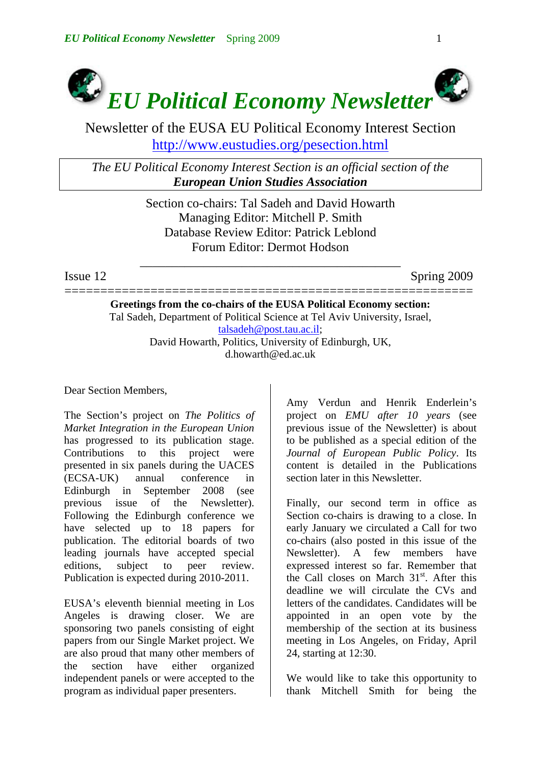

Newsletter of the EUSA EU Political Economy Interest Section http://www.eustudies.org/pesection.html

*The EU Political Economy Interest Section is an official section of the European Union Studies Association*

> Section co-chairs: Tal Sadeh and David Howarth Managing Editor: Mitchell P. Smith Database Review Editor: Patrick Leblond Forum Editor: Dermot Hodson

\_\_\_\_\_\_\_\_\_\_\_\_\_\_\_\_\_\_\_\_\_\_\_\_\_\_\_\_\_\_\_\_\_\_\_\_\_\_\_\_\_

Issue 12 Spring 2009

========================================================= **Greetings from the co-chairs of the EUSA Political Economy section:**  Tal Sadeh, Department of Political Science at Tel Aviv University, Israel, [talsadeh@post.tau.ac.il;](mailto:talsadeh@post.tau.ac.il) David Howarth, Politics, University of Edinburgh, UK, d.howarth@ed.ac.uk

Dear Section Members,

The Section's project on *The Politics of Market Integration in the European Union* has progressed to its publication stage. Contributions to this project were presented in six panels during the UACES (ECSA-UK) annual conference in Edinburgh in September 2008 (see previous issue of the Newsletter). Following the Edinburgh conference we have selected up to 18 papers for publication. The editorial boards of two leading journals have accepted special editions, subject to peer review. Publication is expected during 2010-2011.

EUSA's eleventh biennial meeting in Los Angeles is drawing closer. We are sponsoring two panels consisting of eight papers from our Single Market project. We are also proud that many other members of the section have either organized independent panels or were accepted to the program as individual paper presenters.

Amy Verdun and Henrik Enderlein's project on *EMU after 10 years* (see previous issue of the Newsletter) is about to be published as a special edition of the *Journal of European Public Policy*. Its content is detailed in the Publications section later in this Newsletter.

Finally, our second term in office as Section co-chairs is drawing to a close. In early January we circulated a Call for two co-chairs (also posted in this issue of the Newsletter). A few members have expressed interest so far. Remember that the Call closes on March  $31<sup>st</sup>$ . After this deadline we will circulate the CVs and letters of the candidates. Candidates will be appointed in an open vote by the membership of the section at its business meeting in Los Angeles, on Friday, April 24, starting at 12:30.

We would like to take this opportunity to thank Mitchell Smith for being the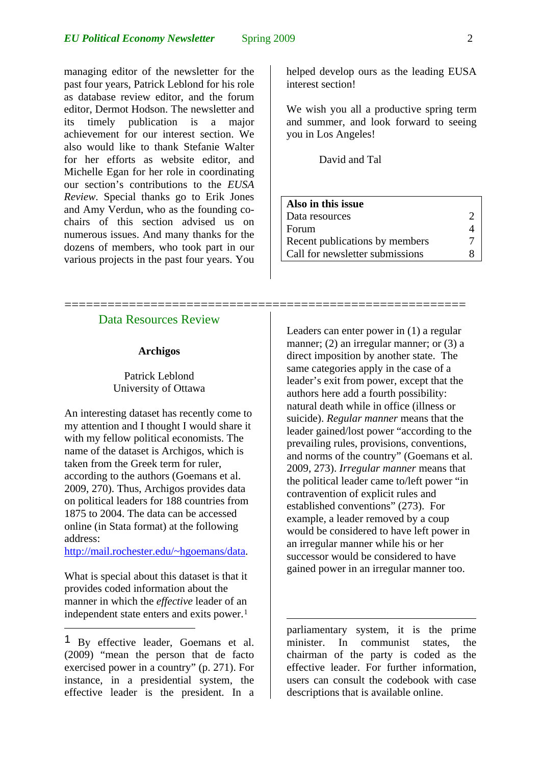managing editor of the newsletter for the past four years, Patrick Leblond for his role as database review editor, and the forum editor, Dermot Hodson. The newsletter and its timely publication is a major achievement for our interest section. We also would like to thank Stefanie Walter for her efforts as website editor, and Michelle Egan for her role in coordinating our section's contributions to the *EUSA Review*. Special thanks go to Erik Jones and Amy Verdun, who as the founding cochairs of this section advised us on numerous issues. And many thanks for the dozens of members, who took part in our various projects in the past four years. You

Data Resources Review

========================================================

#### **Archigos**

## Patrick Leblond University of Ottawa

An interesting dataset has recently come to my attention and I thought I would share it with my fellow political economists. The name of the dataset is Archigos, which is taken from the Greek term for ruler, according to the authors (Goemans et al. 2009, 270). Thus, Archigos provides data on political leaders for 188 countries from 1875 to 2004. The data can be accessed online (in Stata format) at the following address:

[http://mail.rochester.edu/~hgoemans/data](http://mail.rochester.edu/%7Ehgoemans/data).

What is special about this dataset is that it provides coded information about the manner in which the *effective* leader of an independent state enters and exits power.<sup>[1](#page-1-0)</sup>

1

helped develop ours as the leading EUSA interest section!

We wish you all a productive spring term and summer, and look forward to seeing you in Los Angeles!

David and Tal

| Also in this issue              |  |
|---------------------------------|--|
| Data resources                  |  |
| Forum                           |  |
| Recent publications by members  |  |
| Call for newsletter submissions |  |
|                                 |  |

Leaders can enter power in (1) a regular manner; (2) an irregular manner; or (3) a direct imposition by another state. The same categories apply in the case of a leader's exit from power, except that the authors here add a fourth possibility: natural death while in office (illness or suicide). *Regular manner* means that the leader gained/lost power "according to the prevailing rules, provisions, conventions, and norms of the country" (Goemans et al. 2009, 273). *Irregular manner* means that the political leader came to/left power "in contravention of explicit rules and established conventions" (273). For example, a leader removed by a coup would be considered to have left power in an irregular manner while his or her successor would be considered to have gained power in an irregular manner too.

parliamentary system, it is the prime minister. In communist states, the chairman of the party is coded as the effective leader. For further information, users can consult the codebook with case descriptions that is available online.

<span id="page-1-0"></span><sup>1</sup> By effective leader, Goemans et al. (2009) "mean the person that de facto exercised power in a country" (p. 271). For instance, in a presidential system, the effective leader is the president. In a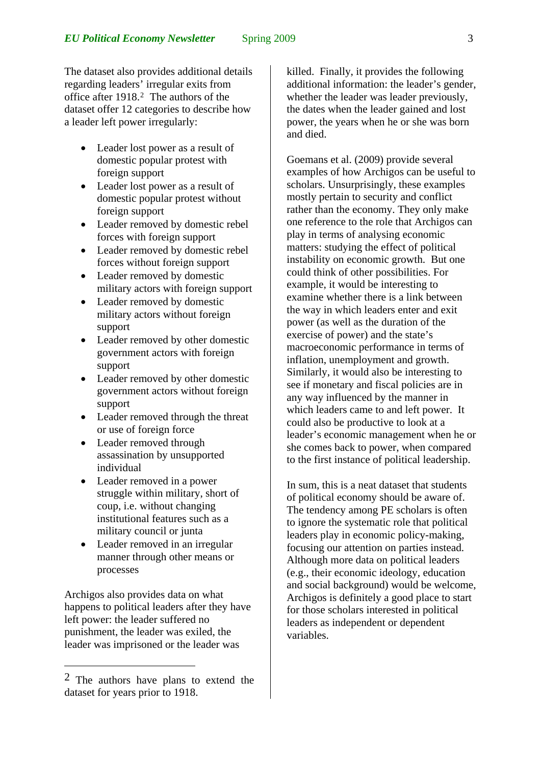The dataset also provides additional details regarding leaders' irregular exits from office after 1918.[2](#page-2-0) The authors of the dataset offer 12 categories to describe how a leader left power irregularly:

- Leader lost power as a result of domestic popular protest with foreign support
- Leader lost power as a result of domestic popular protest without foreign support
- Leader removed by domestic rebel forces with foreign support
- Leader removed by domestic rebel forces without foreign support
- Leader removed by domestic military actors with foreign support
- Leader removed by domestic military actors without foreign support
- Leader removed by other domestic government actors with foreign support
- Leader removed by other domestic government actors without foreign support
- Leader removed through the threat or use of foreign force
- Leader removed through assassination by unsupported individual
- Leader removed in a power struggle within military, short of coup, i.e. without changing institutional features such as a military council or junta
- Leader removed in an irregular manner through other means or processes

Archigos also provides data on what happens to political leaders after they have left power: the leader suffered no punishment, the leader was exiled, the leader was imprisoned or the leader was

1

killed. Finally, it provides the following additional information: the leader's gender, whether the leader was leader previously. the dates when the leader gained and lost power, the years when he or she was born and died.

Goemans et al. (2009) provide several examples of how Archigos can be useful to scholars. Unsurprisingly, these examples mostly pertain to security and conflict rather than the economy. They only make one reference to the role that Archigos can play in terms of analysing economic matters: studying the effect of political instability on economic growth. But one could think of other possibilities. For example, it would be interesting to examine whether there is a link between the way in which leaders enter and exit power (as well as the duration of the exercise of power) and the state's macroeconomic performance in terms of inflation, unemployment and growth. Similarly, it would also be interesting to see if monetary and fiscal policies are in any way influenced by the manner in which leaders came to and left power. It could also be productive to look at a leader's economic management when he or she comes back to power, when compared to the first instance of political leadership.

In sum, this is a neat dataset that students of political economy should be aware of. The tendency among PE scholars is often to ignore the systematic role that political leaders play in economic policy-making, focusing our attention on parties instead. Although more data on political leaders (e.g., their economic ideology, education and social background) would be welcome, Archigos is definitely a good place to start for those scholars interested in political leaders as independent or dependent variables.

<span id="page-2-0"></span><sup>2</sup> The authors have plans to extend the dataset for years prior to 1918.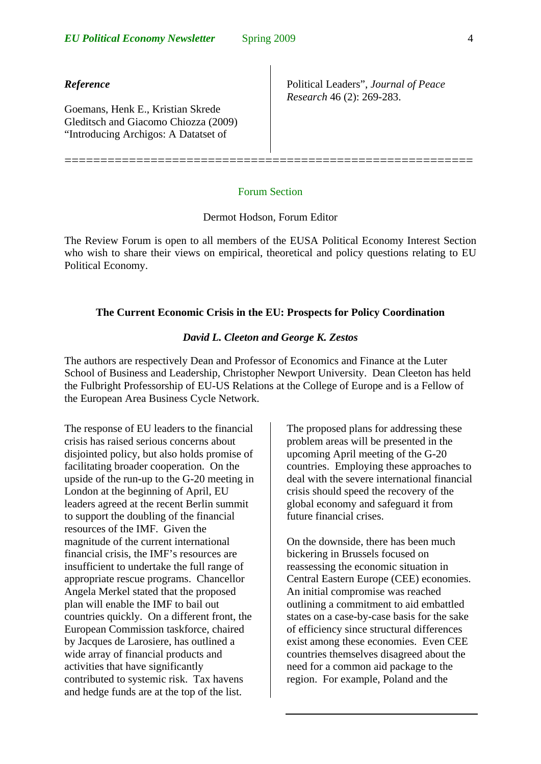## *Reference*

Goemans, Henk E., Kristian Skrede Gleditsch and Giacomo Chiozza (2009) "Introducing Archigos: A Datatset of

Political Leaders", *Journal of Peace Research* 46 (2): 269-283.

#### Forum Section

=========================================================

### Dermot Hodson, Forum Editor

The Review Forum is open to all members of the EUSA Political Economy Interest Section who wish to share their views on empirical, theoretical and policy questions relating to EU Political Economy.

### **The Current Economic Crisis in the EU: Prospects for Policy Coordination**

## *David L. Cleeton and George K. Zestos*

The authors are respectively Dean and Professor of Economics and Finance at the Luter School of Business and Leadership, Christopher Newport University. Dean Cleeton has held the Fulbright Professorship of EU-US Relations at the College of Europe and is a Fellow of the European Area Business Cycle Network.

The response of EU leaders to the financial crisis has raised serious concerns about disjointed policy, but also holds promise of facilitating broader cooperation. On the upside of the run-up to the G-20 meeting in London at the beginning of April, EU leaders agreed at the recent Berlin summit to support the doubling of the financial resources of the IMF. Given the magnitude of the current international financial crisis, the IMF's resources are insufficient to undertake the full range of appropriate rescue programs. Chancellor Angela Merkel stated that the proposed plan will enable the IMF to bail out countries quickly. On a different front, the European Commission taskforce, chaired by Jacques de Larosiere, has outlined a wide array of financial products and activities that have significantly contributed to systemic risk. Tax havens and hedge funds are at the top of the list.

The proposed plans for addressing these problem areas will be presented in the upcoming April meeting of the G-20 countries. Employing these approaches to deal with the severe international financial crisis should speed the recovery of the global economy and safeguard it from future financial crises.

On the downside, there has been much bickering in Brussels focused on reassessing the economic situation in Central Eastern Europe (CEE) economies. An initial compromise was reached outlining a commitment to aid embattled states on a case-by-case basis for the sake of efficiency since structural differences exist among these economies. Even CEE countries themselves disagreed about the need for a common aid package to the region. For example, Poland and the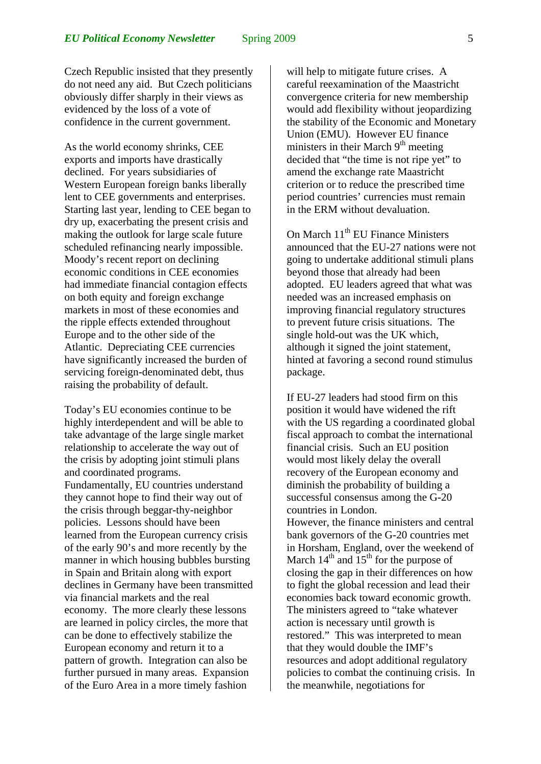Czech Republic insisted that they presently do not need any aid. But Czech politicians obviously differ sharply in their views as evidenced by the loss of a vote of confidence in the current government.

As the world economy shrinks, CEE exports and imports have drastically declined. For years subsidiaries of Western European foreign banks liberally lent to CEE governments and enterprises. Starting last year, lending to CEE began to dry up, exacerbating the present crisis and making the outlook for large scale future scheduled refinancing nearly impossible. Moody's recent report on declining economic conditions in CEE economies had immediate financial contagion effects on both equity and foreign exchange markets in most of these economies and the ripple effects extended throughout Europe and to the other side of the Atlantic. Depreciating CEE currencies have significantly increased the burden of servicing foreign-denominated debt, thus raising the probability of default.

Today's EU economies continue to be highly interdependent and will be able to take advantage of the large single market relationship to accelerate the way out of the crisis by adopting joint stimuli plans and coordinated programs. Fundamentally, EU countries understand they cannot hope to find their way out of the crisis through beggar-thy-neighbor policies. Lessons should have been learned from the European currency crisis of the early 90's and more recently by the manner in which housing bubbles bursting in Spain and Britain along with export declines in Germany have been transmitted via financial markets and the real economy. The more clearly these lessons are learned in policy circles, the more that can be done to effectively stabilize the European economy and return it to a pattern of growth. Integration can also be further pursued in many areas. Expansion of the Euro Area in a more timely fashion

will help to mitigate future crises. A careful reexamination of the Maastricht convergence criteria for new membership would add flexibility without jeopardizing the stability of the Economic and Monetary Union (EMU). However EU finance ministers in their March  $9<sup>th</sup>$  meeting decided that "the time is not ripe yet" to amend the exchange rate Maastricht criterion or to reduce the prescribed time period countries' currencies must remain in the ERM without devaluation.

On March 11<sup>th</sup> EU Finance Ministers announced that the EU-27 nations were not going to undertake additional stimuli plans beyond those that already had been adopted. EU leaders agreed that what was needed was an increased emphasis on improving financial regulatory structures to prevent future crisis situations. The single hold-out was the UK which, although it signed the joint statement, hinted at favoring a second round stimulus package.

If EU-27 leaders had stood firm on this position it would have widened the rift with the US regarding a coordinated global fiscal approach to combat the international financial crisis. Such an EU position would most likely delay the overall recovery of the European economy and diminish the probability of building a successful consensus among the G-20 countries in London.

However, the finance ministers and central bank governors of the G-20 countries met in Horsham, England, over the weekend of March  $14<sup>th</sup>$  and  $15<sup>th</sup>$  for the purpose of closing the gap in their differences on how to fight the global recession and lead their economies back toward economic growth. The ministers agreed to "take whatever action is necessary until growth is restored." This was interpreted to mean that they would double the IMF's resources and adopt additional regulatory policies to combat the continuing crisis. In the meanwhile, negotiations for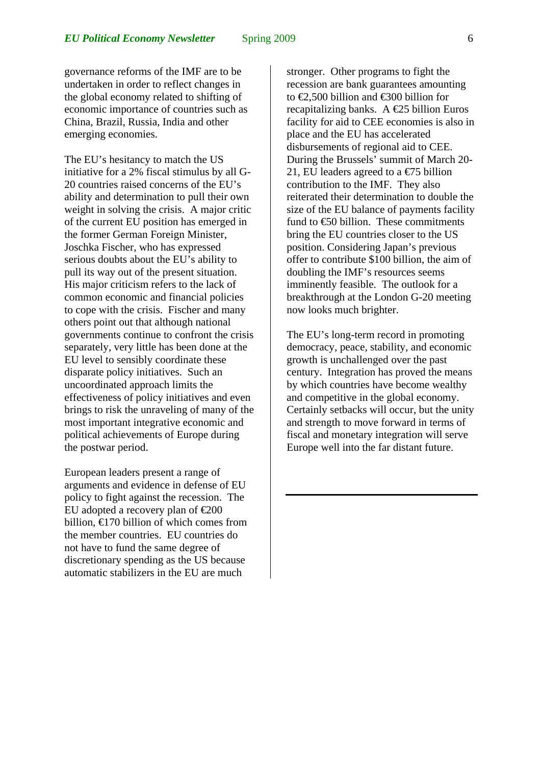governance reforms of the IMF are to be undertaken in order to reflect changes in the global economy related to shifting of economic importance of countries such as China, Brazil, Russia, India and other emerging economies.

The EU's hesitancy to match the US initiative for a 2% fiscal stimulus by all G-20 countries raised concerns of the EU's ability and determination to pull their own weight in solving the crisis. A major critic of the current EU position has emerged in the former German Foreign Minister, Joschka Fischer, who has expressed serious doubts about the EU's ability to pull its way out of the present situation. His major criticism refers to the lack of common economic and financial policies to cope with the crisis. Fischer and many others point out that although national governments continue to confront the crisis separately, very little has been done at the EU level to sensibly coordinate these disparate policy initiatives. Such an uncoordinated approach limits the effectiveness of policy initiatives and even brings to risk the unraveling of many of the most important integrative economic and political achievements of Europe during the postwar period.

European leaders present a range of arguments and evidence in defense of EU policy to fight against the recession. The EU adopted a recovery plan of  $\epsilon \approx 200$ billion,  $\epsilon$ 170 billion of which comes from the member countries. EU countries do not have to fund the same degree of discretionary spending as the US because automatic stabilizers in the EU are much

stronger. Other programs to fight the recession are bank guarantees amounting to €2,500 billion and €300 billion for recapitalizing banks. A  $\epsilon$ 25 billion Euros facility for aid to CEE economies is also in place and the EU has accelerated disbursements of regional aid to CEE. During the Brussels' summit of March 20- 21, EU leaders agreed to a  $\epsilon$ 75 billion contribution to the IMF. They also reiterated their determination to double the size of the EU balance of payments facility fund to  $\bigoplus$  billion. These commitments bring the EU countries closer to the US position. Considering Japan's previous offer to contribute \$100 billion, the aim of doubling the IMF's resources seems imminently feasible. The outlook for a breakthrough at the London G-20 meeting now looks much brighter.

The EU's long-term record in promoting democracy, peace, stability, and economic growth is unchallenged over the past century. Integration has proved the means by which countries have become wealthy and competitive in the global economy. Certainly setbacks will occur, but the unity and strength to move forward in terms of fiscal and monetary integration will serve Europe well into the far distant future.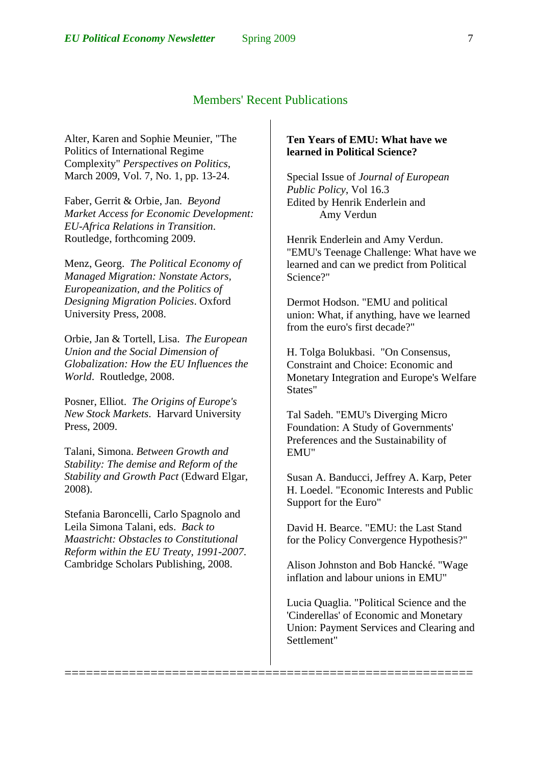# Members' Recent Publications

=========================================================

Alter, Karen and Sophie Meunier, "The Politics of International Regime Complexity" *Perspectives on Politics*, March 2009, Vol. 7, No. 1, pp. 13-24.

Faber, Gerrit & Orbie, Jan. *Beyond Market Access for Economic Development: EU-Africa Relations in Transition*. Routledge, forthcoming 2009.

Menz, Georg. *The Political Economy of Managed Migration: Nonstate Actors, Europeanization, and the Politics of Designing Migration Policies*. Oxford University Press, 2008.

Orbie, Jan & Tortell, Lisa. *The European Union and the Social Dimension of Globalization: How the EU Influences the World*. Routledge, 2008.

Posner, Elliot. *The Origins of Europe's New Stock Markets*. Harvard University Press, 2009.

Talani, Simona. *Between Growth and Stability: The demise and Reform of the Stability and Growth Pact* (Edward Elgar, 2008).

Stefania Baroncelli, Carlo Spagnolo and Leila Simona Talani, eds. *Back to Maastricht: Obstacles to Constitutional Reform within the EU Treaty, 1991-2007*. Cambridge Scholars Publishing, 2008.

## **Ten Years of EMU: What have we learned in Political Science?**

Special Issue of *Journal of European Public Policy*, Vol 16.3 Edited by Henrik Enderlein and Amy Verdun

Henrik Enderlein and Amy Verdun. "EMU's Teenage Challenge: What have we learned and can we predict from Political Science?"

Dermot Hodson. "EMU and political union: What, if anything, have we learned from the euro's first decade?"

H. Tolga Bolukbasi. "On Consensus, Constraint and Choice: Economic and Monetary Integration and Europe's Welfare States"

Tal Sadeh. "EMU's Diverging Micro Foundation: A Study of Governments' Preferences and the Sustainability of EMU"

Susan A. Banducci, Jeffrey A. Karp, Peter H. Loedel. "Economic Interests and Public Support for the Euro"

David H. Bearce. "EMU: the Last Stand for the Policy Convergence Hypothesis?"

Alison Johnston and Bob Hancké. "Wage inflation and labour unions in EMU"

Lucia Quaglia. "Political Science and the 'Cinderellas' of Economic and Monetary Union: Payment Services and Clearing and Settlement"